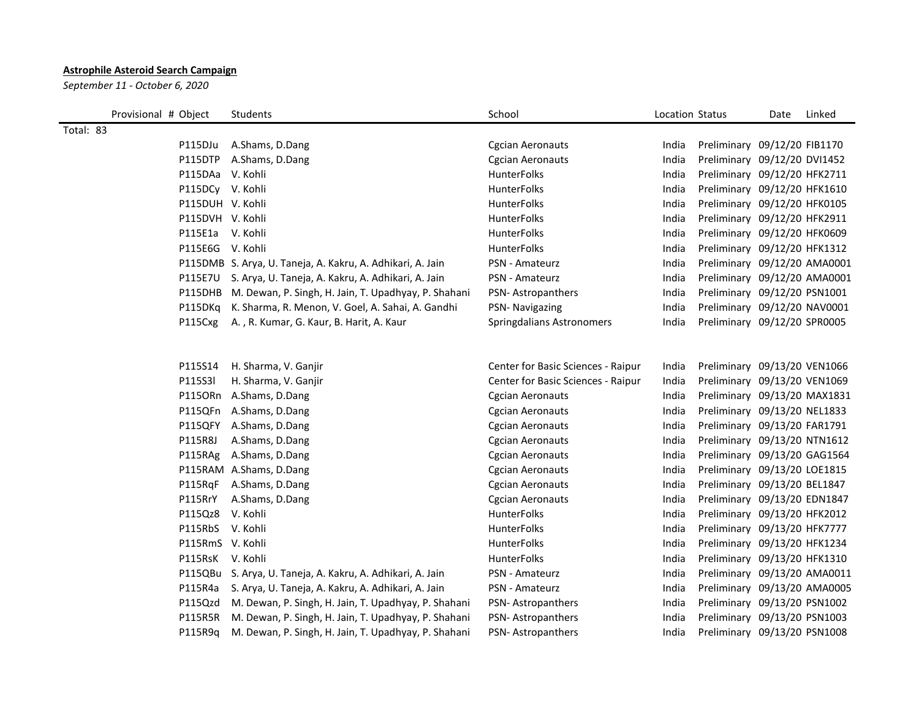## **Astrophile Asteroid Search Campaign**

*September 11 - October 6, 2020*

| Provisional # Object | Students                                                     | School                             | Location Status |                              | Date | Linked |
|----------------------|--------------------------------------------------------------|------------------------------------|-----------------|------------------------------|------|--------|
| Total: 83            |                                                              |                                    |                 |                              |      |        |
| P115DJu              | A.Shams, D.Dang                                              | <b>Cgcian Aeronauts</b>            | India           | Preliminary 09/12/20 FIB1170 |      |        |
|                      | P115DTP A.Shams, D.Dang                                      | <b>Cgcian Aeronauts</b>            | India           | Preliminary 09/12/20 DVI1452 |      |        |
| P115DAa V. Kohli     |                                                              | <b>HunterFolks</b>                 | India           | Preliminary 09/12/20 HFK2711 |      |        |
| P115DCy V. Kohli     |                                                              | <b>HunterFolks</b>                 | India           | Preliminary 09/12/20 HFK1610 |      |        |
| P115DUH V. Kohli     |                                                              | <b>HunterFolks</b>                 | India           | Preliminary 09/12/20 HFK0105 |      |        |
| P115DVH V. Kohli     |                                                              | HunterFolks                        | India           | Preliminary 09/12/20 HFK2911 |      |        |
| P115E1a V. Kohli     |                                                              | HunterFolks                        | India           | Preliminary 09/12/20 HFK0609 |      |        |
| P115E6G V. Kohli     |                                                              | HunterFolks                        | India           | Preliminary 09/12/20 HFK1312 |      |        |
|                      | P115DMB S. Arya, U. Taneja, A. Kakru, A. Adhikari, A. Jain   | PSN - Amateurz                     | India           | Preliminary 09/12/20 AMA0001 |      |        |
|                      | P115E7U S. Arya, U. Taneja, A. Kakru, A. Adhikari, A. Jain   | PSN - Amateurz                     | India           | Preliminary 09/12/20 AMA0001 |      |        |
|                      | P115DHB M. Dewan, P. Singh, H. Jain, T. Upadhyay, P. Shahani | PSN-Astropanthers                  | India           | Preliminary 09/12/20 PSN1001 |      |        |
| P115DKg              | K. Sharma, R. Menon, V. Goel, A. Sahai, A. Gandhi            | PSN- Navigazing                    | India           | Preliminary 09/12/20 NAV0001 |      |        |
| P115Cxg              | A., R. Kumar, G. Kaur, B. Harit, A. Kaur                     | Springdalians Astronomers          | India           | Preliminary 09/12/20 SPR0005 |      |        |
|                      |                                                              |                                    |                 |                              |      |        |
| P115S14              | H. Sharma, V. Ganjir                                         | Center for Basic Sciences - Raipur | India           | Preliminary 09/13/20 VEN1066 |      |        |
| P115S3I              | H. Sharma, V. Ganjir                                         | Center for Basic Sciences - Raipur | India           | Preliminary 09/13/20 VEN1069 |      |        |
|                      | P115ORn A.Shams, D.Dang                                      | <b>Cgcian Aeronauts</b>            | India           | Preliminary 09/13/20 MAX1831 |      |        |
|                      | P115QFn A.Shams, D.Dang                                      | <b>Cgcian Aeronauts</b>            | India           | Preliminary 09/13/20 NEL1833 |      |        |
|                      | P115QFY A.Shams, D.Dang                                      | <b>Cgcian Aeronauts</b>            | India           | Preliminary 09/13/20 FAR1791 |      |        |
| P115R8J              | A.Shams, D.Dang                                              | <b>Cgcian Aeronauts</b>            | India           | Preliminary 09/13/20 NTN1612 |      |        |
|                      | P115RAg A.Shams, D.Dang                                      | <b>Cgcian Aeronauts</b>            | India           | Preliminary 09/13/20 GAG1564 |      |        |
|                      | P115RAM A.Shams, D.Dang                                      | <b>Cgcian Aeronauts</b>            | India           | Preliminary 09/13/20 LOE1815 |      |        |
|                      | P115RqF A.Shams, D.Dang                                      | <b>Cgcian Aeronauts</b>            | India           | Preliminary 09/13/20 BEL1847 |      |        |
| P115RrY              | A.Shams, D.Dang                                              | <b>Cgcian Aeronauts</b>            | India           | Preliminary 09/13/20 EDN1847 |      |        |
| P115Qz8 V. Kohli     |                                                              | <b>HunterFolks</b>                 | India           | Preliminary 09/13/20 HFK2012 |      |        |
| P115RbS V. Kohli     |                                                              | HunterFolks                        | India           | Preliminary 09/13/20 HFK7777 |      |        |
| P115RmS V. Kohli     |                                                              | <b>HunterFolks</b>                 | India           | Preliminary 09/13/20 HFK1234 |      |        |
| P115RsK V. Kohli     |                                                              | <b>HunterFolks</b>                 | India           | Preliminary 09/13/20 HFK1310 |      |        |
|                      | P115QBu S. Arya, U. Taneja, A. Kakru, A. Adhikari, A. Jain   | PSN - Amateurz                     | India           | Preliminary 09/13/20 AMA0011 |      |        |
|                      | P115R4a S. Arya, U. Taneja, A. Kakru, A. Adhikari, A. Jain   | <b>PSN</b> - Amateurz              | India           | Preliminary 09/13/20 AMA0005 |      |        |
| P115Qzd              | M. Dewan, P. Singh, H. Jain, T. Upadhyay, P. Shahani         | PSN-Astropanthers                  | India           | Preliminary 09/13/20 PSN1002 |      |        |
|                      | P115R5R M. Dewan, P. Singh, H. Jain, T. Upadhyay, P. Shahani | PSN-Astropanthers                  | India           | Preliminary 09/13/20 PSN1003 |      |        |
| P115R9a              | M. Dewan, P. Singh, H. Jain, T. Upadhyay, P. Shahani         | <b>PSN-Astropanthers</b>           | India           | Preliminary 09/13/20 PSN1008 |      |        |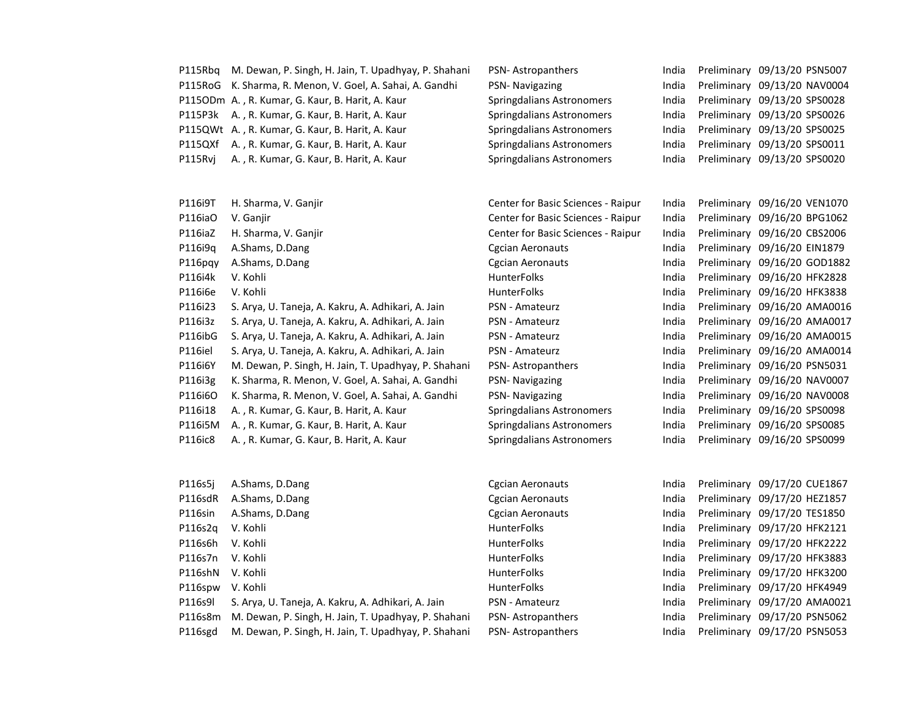| P115Rbq            | M. Dewan, P. Singh, H. Jain, T. Upadhyay, P. Shahani | PSN-Astropanthers                  | India          | Preliminary 09/13/20 PSN5007                                 |
|--------------------|------------------------------------------------------|------------------------------------|----------------|--------------------------------------------------------------|
| P115RoG            | K. Sharma, R. Menon, V. Goel, A. Sahai, A. Gandhi    | PSN- Navigazing                    | India          | Preliminary 09/13/20 NAV0004                                 |
|                    | P115ODm A., R. Kumar, G. Kaur, B. Harit, A. Kaur     | Springdalians Astronomers          | India          | Preliminary 09/13/20 SPS0028                                 |
| P115P3k            | A., R. Kumar, G. Kaur, B. Harit, A. Kaur             | Springdalians Astronomers          | India          | Preliminary 09/13/20 SPS0026                                 |
|                    | P115QWt A., R. Kumar, G. Kaur, B. Harit, A. Kaur     | Springdalians Astronomers          | India          | Preliminary 09/13/20 SPS0025                                 |
| P115QXf            | A., R. Kumar, G. Kaur, B. Harit, A. Kaur             | Springdalians Astronomers          | India          | Preliminary 09/13/20 SPS0011                                 |
| P115Rvj            | A., R. Kumar, G. Kaur, B. Harit, A. Kaur             | Springdalians Astronomers          | India          | Preliminary 09/13/20 SPS0020                                 |
|                    |                                                      |                                    |                |                                                              |
| P116i9T            | H. Sharma, V. Ganjir                                 | Center for Basic Sciences - Raipur | India          | Preliminary 09/16/20 VEN1070                                 |
|                    |                                                      |                                    |                |                                                              |
| P116iaO<br>P116iaZ | V. Ganjir                                            | Center for Basic Sciences - Raipur | India<br>India | Preliminary 09/16/20 BPG1062<br>Preliminary 09/16/20 CBS2006 |
|                    | H. Sharma, V. Ganjir                                 | Center for Basic Sciences - Raipur |                |                                                              |
| P116i9q            | A.Shams, D.Dang                                      | <b>Cgcian Aeronauts</b>            | India          | Preliminary 09/16/20 EIN1879                                 |
| P116pqy            | A.Shams, D.Dang                                      | Cgcian Aeronauts                   | India          | Preliminary 09/16/20 GOD1882                                 |
| P116i4k            | V. Kohli                                             | <b>HunterFolks</b>                 | India          | Preliminary 09/16/20 HFK2828                                 |
| P116i6e            | V. Kohli                                             | <b>HunterFolks</b>                 | India          | Preliminary 09/16/20 HFK3838                                 |
| P116i23            | S. Arya, U. Taneja, A. Kakru, A. Adhikari, A. Jain   | PSN - Amateurz                     | India          | Preliminary 09/16/20 AMA0016                                 |
| P116i3z            | S. Arya, U. Taneja, A. Kakru, A. Adhikari, A. Jain   | PSN - Amateurz                     | India          | Preliminary 09/16/20 AMA0017                                 |
| P116ibG            | S. Arya, U. Taneja, A. Kakru, A. Adhikari, A. Jain   | PSN - Amateurz                     | India          | Preliminary 09/16/20 AMA0015                                 |
| P116iel            | S. Arya, U. Taneja, A. Kakru, A. Adhikari, A. Jain   | PSN - Amateurz                     | India          | Preliminary 09/16/20 AMA0014                                 |
| P116i6Y            | M. Dewan, P. Singh, H. Jain, T. Upadhyay, P. Shahani | <b>PSN-Astropanthers</b>           | India          | Preliminary 09/16/20 PSN5031                                 |
| P116i3g            | K. Sharma, R. Menon, V. Goel, A. Sahai, A. Gandhi    | PSN- Navigazing                    | India          | Preliminary 09/16/20 NAV0007                                 |
| P116i6O            | K. Sharma, R. Menon, V. Goel, A. Sahai, A. Gandhi    | PSN- Navigazing                    | India          | Preliminary 09/16/20 NAV0008                                 |
| P116i18            | A., R. Kumar, G. Kaur, B. Harit, A. Kaur             | Springdalians Astronomers          | India          | Preliminary 09/16/20 SPS0098                                 |
| P116i5M            | A., R. Kumar, G. Kaur, B. Harit, A. Kaur             | Springdalians Astronomers          | India          | Preliminary 09/16/20 SPS0085                                 |
| P116ic8            | A., R. Kumar, G. Kaur, B. Harit, A. Kaur             | Springdalians Astronomers          | India          | Preliminary 09/16/20 SPS0099                                 |
|                    |                                                      |                                    |                |                                                              |
| P116s5j            | A.Shams, D.Dang                                      | <b>Cgcian Aeronauts</b>            | India          | Preliminary 09/17/20 CUE1867                                 |
| P116sdR            | A.Shams, D.Dang                                      | Cgcian Aeronauts                   | India          | Preliminary 09/17/20 HEZ1857                                 |
| P116sin            | A.Shams, D.Dang                                      | <b>Cgcian Aeronauts</b>            | India          | Preliminary 09/17/20 TES1850                                 |
| P116s2q            | V. Kohli                                             | HunterFolks                        | India          | Preliminary 09/17/20 HFK2121                                 |
| P116s6h            | V. Kohli                                             | HunterFolks                        | India          | Preliminary 09/17/20 HFK2222                                 |
| P116s7n            | V. Kohli                                             | HunterFolks                        | India          | Preliminary 09/17/20 HFK3883                                 |
| P116shN            | V. Kohli                                             | <b>HunterFolks</b>                 | India          | Preliminary 09/17/20 HFK3200                                 |
| P116spw            | V. Kohli                                             | HunterFolks                        | India          | Preliminary 09/17/20 HFK4949                                 |
| P116s9l            | S. Arya, U. Taneja, A. Kakru, A. Adhikari, A. Jain   | PSN - Amateurz                     | India          | Preliminary 09/17/20 AMA0021                                 |
| P116s8m            | M. Dewan, P. Singh, H. Jain, T. Upadhyay, P. Shahani | PSN-Astropanthers                  | India          | Preliminary 09/17/20 PSN5062                                 |
| P116sgd            | M. Dewan, P. Singh, H. Jain, T. Upadhyay, P. Shahani | PSN-Astropanthers                  | India          | Preliminary 09/17/20 PSN5053                                 |